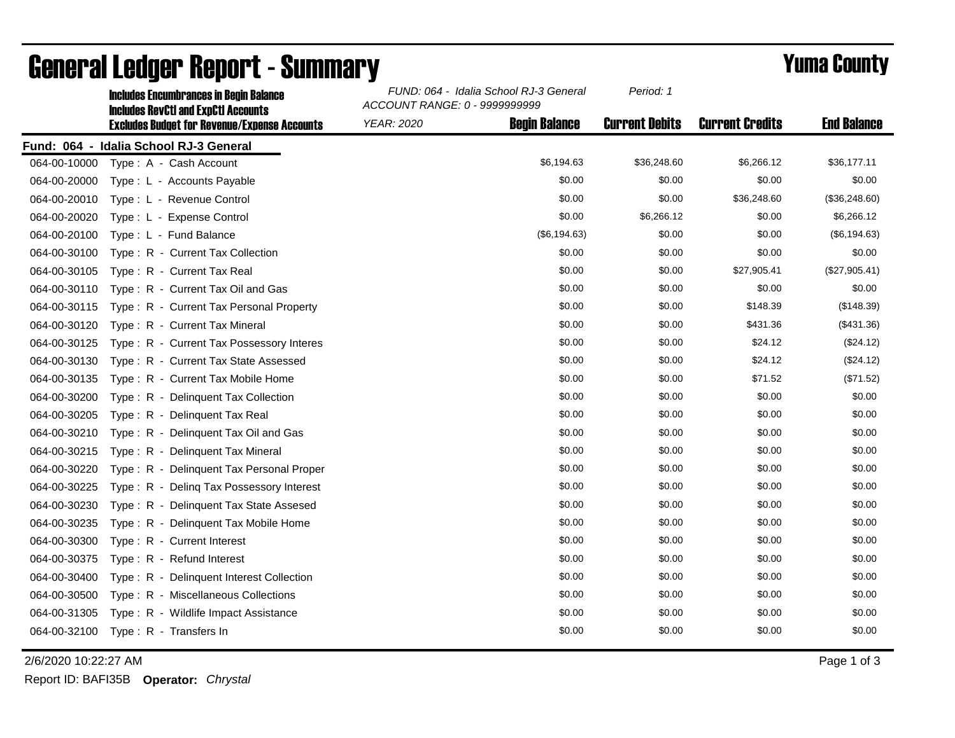|              | <b>Includes Encumbrances in Begin Balance</b><br><b>Includes RevCtI and ExpCtI Accounts</b> | FUND: 064 - Idalia School RJ-3 General<br>ACCOUNT RANGE: 0 - 9999999999 |                      | Period: 1             |                        |                    |
|--------------|---------------------------------------------------------------------------------------------|-------------------------------------------------------------------------|----------------------|-----------------------|------------------------|--------------------|
|              | <b>Excludes Budget for Revenue/Expense Accounts</b>                                         | <b>YEAR: 2020</b>                                                       | <b>Begin Balance</b> | <b>Current Debits</b> | <b>Current Credits</b> | <b>End Balance</b> |
|              | Fund: 064 - Idalia School RJ-3 General                                                      |                                                                         |                      |                       |                        |                    |
| 064-00-10000 | Type: A - Cash Account                                                                      |                                                                         | \$6,194.63           | \$36,248.60           | \$6,266.12             | \$36,177.11        |
| 064-00-20000 | Type: L - Accounts Payable                                                                  |                                                                         | \$0.00               | \$0.00                | \$0.00                 | \$0.00             |
| 064-00-20010 | Type: L - Revenue Control                                                                   |                                                                         | \$0.00               | \$0.00                | \$36,248.60            | (\$36,248.60)      |
| 064-00-20020 | Type: L - Expense Control                                                                   |                                                                         | \$0.00               | \$6,266.12            | \$0.00                 | \$6,266.12         |
| 064-00-20100 | Type: L - Fund Balance                                                                      |                                                                         | (\$6,194.63)         | \$0.00                | \$0.00                 | (\$6, 194.63)      |
| 064-00-30100 | Type: R - Current Tax Collection                                                            |                                                                         | \$0.00               | \$0.00                | \$0.00                 | \$0.00             |
| 064-00-30105 | Type: R - Current Tax Real                                                                  |                                                                         | \$0.00               | \$0.00                | \$27,905.41            | (\$27,905.41)      |
| 064-00-30110 | Type: R - Current Tax Oil and Gas                                                           |                                                                         | \$0.00               | \$0.00                | \$0.00                 | \$0.00             |
| 064-00-30115 | Type: R - Current Tax Personal Property                                                     |                                                                         | \$0.00               | \$0.00                | \$148.39               | (\$148.39)         |
| 064-00-30120 | Type: R - Current Tax Mineral                                                               |                                                                         | \$0.00               | \$0.00                | \$431.36               | (\$431.36)         |
| 064-00-30125 | Type: R - Current Tax Possessory Interes                                                    |                                                                         | \$0.00               | \$0.00                | \$24.12                | (\$24.12)          |
| 064-00-30130 | Type: R - Current Tax State Assessed                                                        |                                                                         | \$0.00               | \$0.00                | \$24.12                | (\$24.12)          |
| 064-00-30135 | Type: R - Current Tax Mobile Home                                                           |                                                                         | \$0.00               | \$0.00                | \$71.52                | (\$71.52)          |
| 064-00-30200 | Type: R - Delinquent Tax Collection                                                         |                                                                         | \$0.00               | \$0.00                | \$0.00                 | \$0.00             |
| 064-00-30205 | Type: R - Delinquent Tax Real                                                               |                                                                         | \$0.00               | \$0.00                | \$0.00                 | \$0.00             |
| 064-00-30210 | Type: R - Delinquent Tax Oil and Gas                                                        |                                                                         | \$0.00               | \$0.00                | \$0.00                 | \$0.00             |
| 064-00-30215 | Type: R - Delinquent Tax Mineral                                                            |                                                                         | \$0.00               | \$0.00                | \$0.00                 | \$0.00             |
| 064-00-30220 | Type: R - Delinquent Tax Personal Proper                                                    |                                                                         | \$0.00               | \$0.00                | \$0.00                 | \$0.00             |
| 064-00-30225 | Type: R - Deling Tax Possessory Interest                                                    |                                                                         | \$0.00               | \$0.00                | \$0.00                 | \$0.00             |
| 064-00-30230 | Type: R - Delinguent Tax State Assesed                                                      |                                                                         | \$0.00               | \$0.00                | \$0.00                 | \$0.00             |
| 064-00-30235 | Type: R - Delinquent Tax Mobile Home                                                        |                                                                         | \$0.00               | \$0.00                | \$0.00                 | \$0.00             |
| 064-00-30300 | Type: R - Current Interest                                                                  |                                                                         | \$0.00               | \$0.00                | \$0.00                 | \$0.00             |
| 064-00-30375 | Type: R - Refund Interest                                                                   |                                                                         | \$0.00               | \$0.00                | \$0.00                 | \$0.00             |
| 064-00-30400 | Type: R - Delinquent Interest Collection                                                    |                                                                         | \$0.00               | \$0.00                | \$0.00                 | \$0.00             |
| 064-00-30500 | Type: R - Miscellaneous Collections                                                         |                                                                         | \$0.00               | \$0.00                | \$0.00                 | \$0.00             |
| 064-00-31305 | Type: R - Wildlife Impact Assistance                                                        |                                                                         | \$0.00               | \$0.00                | \$0.00                 | \$0.00             |
| 064-00-32100 | Type: R - Transfers In                                                                      |                                                                         | \$0.00               | \$0.00                | \$0.00                 | \$0.00             |

## General Ledger Report - Summary **Example 2018** Yuma County

2/6/2020 10:22:27 AM Page 1 of 3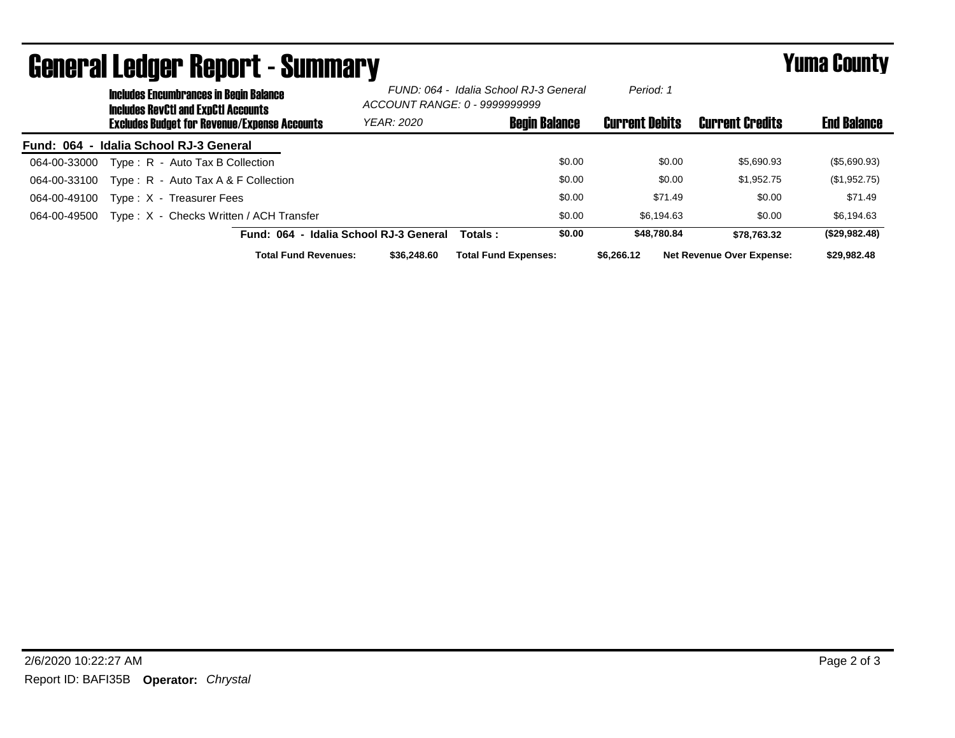| <b>General Ledger Report - Summary</b> |                                                                                             |                                                     |                                        |                                                                         |                             | <b>Yuma County</b>   |                       |                                  |                    |
|----------------------------------------|---------------------------------------------------------------------------------------------|-----------------------------------------------------|----------------------------------------|-------------------------------------------------------------------------|-----------------------------|----------------------|-----------------------|----------------------------------|--------------------|
|                                        | <b>Includes Encumbrances in Begin Balance</b><br><b>Includes RevCtI and ExpCtI Accounts</b> |                                                     |                                        | FUND: 064 - Idalia School RJ-3 General<br>ACCOUNT RANGE: 0 - 9999999999 |                             | Period: 1            |                       |                                  |                    |
|                                        |                                                                                             | <b>Excludes Budget for Revenue/Expense Accounts</b> |                                        | <b>YEAR: 2020</b>                                                       |                             | <b>Begin Balance</b> | <b>Current Debits</b> | <b>Current Credits</b>           | <b>End Balance</b> |
| Fund: 064 - Idalia School RJ-3 General |                                                                                             |                                                     |                                        |                                                                         |                             |                      |                       |                                  |                    |
| 064-00-33000                           |                                                                                             | Type: R - Auto Tax B Collection                     |                                        |                                                                         |                             | \$0.00               | \$0.00                | \$5,690.93                       | (\$5,690.93)       |
| 064-00-33100                           |                                                                                             | Type: $R -$ Auto Tax A & F Collection               |                                        |                                                                         |                             | \$0.00               | \$0.00                | \$1,952.75                       | (\$1,952.75)       |
| 064-00-49100                           |                                                                                             | Type: X - Treasurer Fees                            |                                        |                                                                         |                             | \$0.00               | \$71.49               | \$0.00                           | \$71.49            |
| 064-00-49500                           |                                                                                             | Type: X - Checks Written / ACH Transfer             |                                        |                                                                         |                             | \$0.00               | \$6.194.63            | \$0.00                           | \$6,194.63         |
|                                        |                                                                                             |                                                     | Fund: 064 - Idalia School RJ-3 General |                                                                         | Totals:                     | \$0.00               | \$48,780.84           | \$78.763.32                      | (\$29,982.48)      |
|                                        |                                                                                             |                                                     | <b>Total Fund Revenues:</b>            | \$36,248.60                                                             | <b>Total Fund Expenses:</b> |                      | \$6,266.12            | <b>Net Revenue Over Expense:</b> | \$29,982.48        |